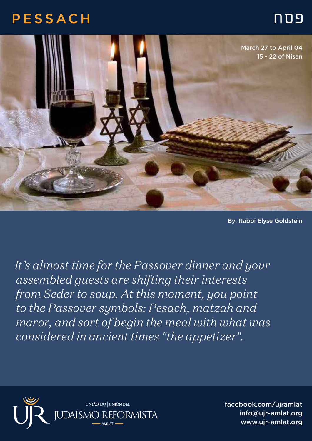## פסח PESSACH



By: Rabbi Elyse Goldstein

*It's almost time for the Passover dinner and your assembled guests are shifting their interests from Seder to soup. At this moment, you point to the Passover symbols: Pesach, matzah and maror, and sort of begin the meal with what was considered in ancient times "the appetizer".* 



facebook.com/ujramlat info@ujr-amlat.org www.ujr-amlat.org info@ujr-amlat.org<br>-<br>- www.ujr-amlat.org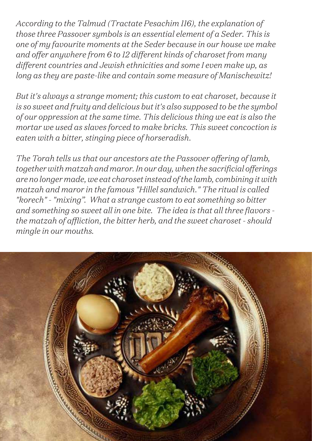*According to the Talmud (Tractate Pesachim 116), the explanation of those three Passover symbols is an essential element of a Seder. This is one of my favourite moments at the Seder because in our house we make and offer anywhere from 6 to 12 different kinds of charoset from many different countries and Jewish ethnicities and some I even make up, as long as they are paste-like and contain some measure of Manischewitz!*

*But it's always a strange moment; this custom to eat charoset, because it is so sweet and fruity and delicious but it's also supposed to be the symbol of our oppression at the same time. This delicious thing we eat is also the mortar we used as slaves forced to make bricks. This sweet concoction is eaten with a bitter, stinging piece of horseradish.* 

*The Torah tells us that our ancestors ate the Passover offering of lamb, together with matzah and maror. In our day, when the sacrificial offerings are no longer made, we eat charoset instead of the lamb, combining it with matzah and maror in the famous "Hillel sandwich." The ritual is called "korech" - "mixing". What a strange custom to eat something so bitter and something so sweet all in one bite. The idea is that all three flavors the matzah of affliction, the bitter herb, and the sweet charoset - should mingle in our mouths.*

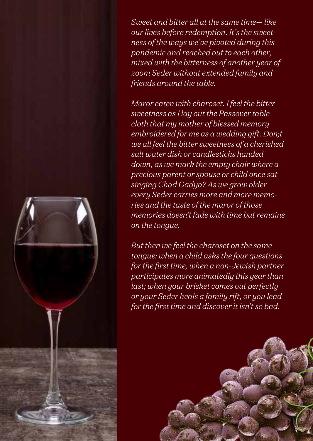*Sweet and bitter all at the same time— like our lives before redemption. It's the sweetness of the ways we've pivoted during this pandemic and reached out to each other, mixed with the bitterness of another year of zoom Seder without extended family and friends around the table.*

*Maror eaten with charoset. I feel the bitter sweetness as I lay out the Passover table cloth that my mother of blessed memory embroidered for me as a wedding gift. Don;t we all feel the bitter sweetness of a cherished salt water dish or candlesticks handed down, as we mark the empty chair where a precious parent or spouse or child once sat singing Chad Gadya? As we grow older every Seder carries more and more memories and the taste of the maror of those memories doesn't fade with time but remains on the tongue.*

*But then we feel the charoset on the same tongue: when a child asks the four questions for the first time, when a non-Jewish partner participates more animatedly this year than last; when your brisket comes out perfectly or your Seder heals a family rift, or you lead for the first time and discover it isn't so bad.*